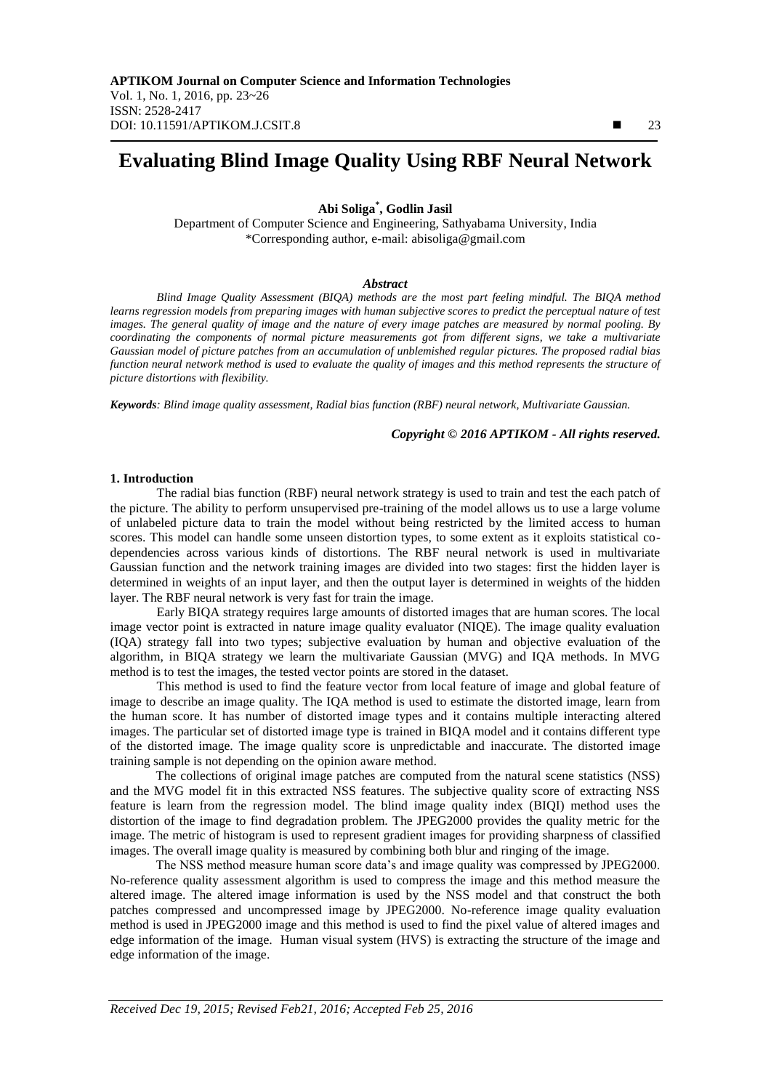# **Evaluating Blind Image Quality Using RBF Neural Network**

**Abi Soliga\* , Godlin Jasil**

Department of Computer Science and Engineering, Sathyabama University, India \*Corresponding author, e-mail: abisoliga@gmail.com

## *Abstract*

*Blind Image Quality Assessment (BIQA) methods are the most part feeling mindful. The BIQA method learns regression models from preparing images with human subjective scores to predict the perceptual nature of test images. The general quality of image and the nature of every image patches are measured by normal pooling. By coordinating the components of normal picture measurements got from different signs, we take a multivariate Gaussian model of picture patches from an accumulation of unblemished regular pictures. The proposed radial bias function neural network method is used to evaluate the quality of images and this method represents the structure of picture distortions with flexibility.*

*Keywords: Blind image quality assessment, Radial bias function (RBF) neural network, Multivariate Gaussian.*

*Copyright © 2016 APTIKOM - All rights reserved.*

## **1. Introduction**

The radial bias function (RBF) neural network strategy is used to train and test the each patch of the picture. The ability to perform unsupervised pre-training of the model allows us to use a large volume of unlabeled picture data to train the model without being restricted by the limited access to human scores. This model can handle some unseen distortion types, to some extent as it exploits statistical codependencies across various kinds of distortions. The RBF neural network is used in multivariate Gaussian function and the network training images are divided into two stages: first the hidden layer is determined in weights of an input layer, and then the output layer is determined in weights of the hidden layer. The RBF neural network is very fast for train the image.

Early BIQA strategy requires large amounts of distorted images that are human scores. The local image vector point is extracted in nature image quality evaluator (NIQE). The image quality evaluation (IQA) strategy fall into two types; subjective evaluation by human and objective evaluation of the algorithm, in BIQA strategy we learn the multivariate Gaussian (MVG) and IQA methods. In MVG method is to test the images, the tested vector points are stored in the dataset.

This method is used to find the feature vector from local feature of image and global feature of image to describe an image quality. The IQA method is used to estimate the distorted image, learn from the human score. It has number of distorted image types and it contains multiple interacting altered images. The particular set of distorted image type is trained in BIQA model and it contains different type of the distorted image. The image quality score is unpredictable and inaccurate. The distorted image training sample is not depending on the opinion aware method.

The collections of original image patches are computed from the natural scene statistics (NSS) and the MVG model fit in this extracted NSS features. The subjective quality score of extracting NSS feature is learn from the regression model. The blind image quality index (BIQI) method uses the distortion of the image to find degradation problem. The JPEG2000 provides the quality metric for the image. The metric of histogram is used to represent gradient images for providing sharpness of classified images. The overall image quality is measured by combining both blur and ringing of the image.

The NSS method measure human score data's and image quality was compressed by JPEG2000. No-reference quality assessment algorithm is used to compress the image and this method measure the altered image. The altered image information is used by the NSS model and that construct the both patches compressed and uncompressed image by JPEG2000. No-reference image quality evaluation method is used in JPEG2000 image and this method is used to find the pixel value of altered images and edge information of the image. Human visual system (HVS) is extracting the structure of the image and edge information of the image.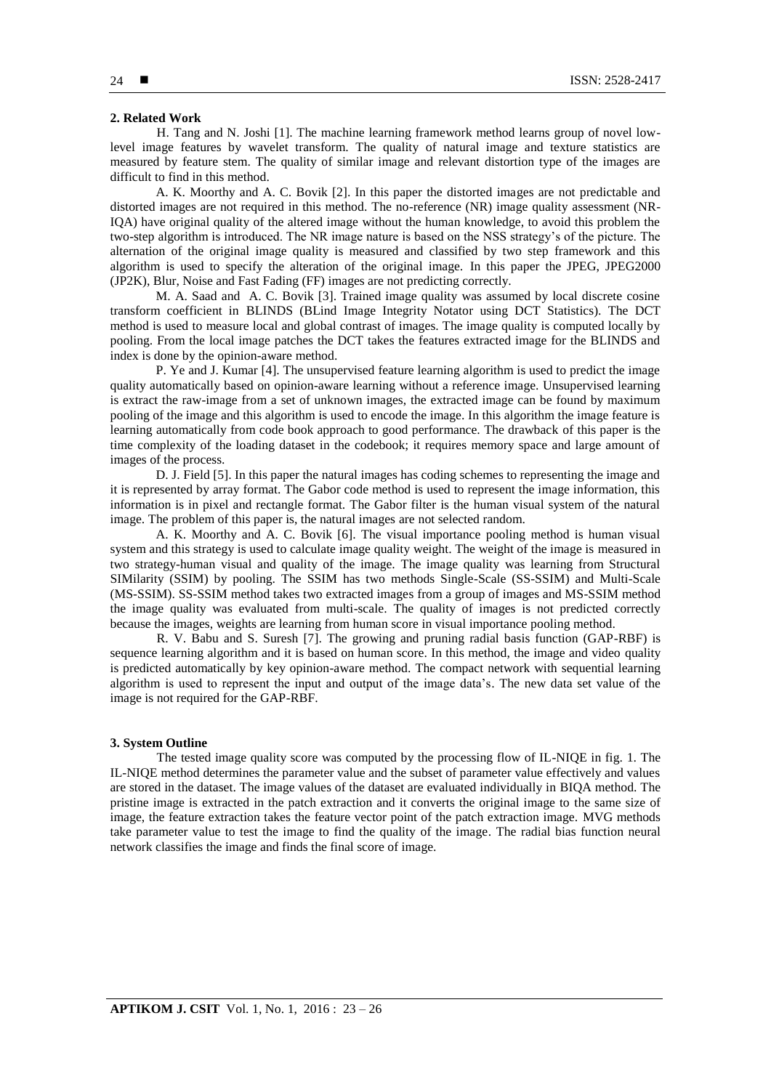#### **2. Related Work**

H. Tang and N. Joshi [1]. The machine learning framework method learns group of novel lowlevel image features by wavelet transform. The quality of natural image and texture statistics are measured by feature stem. The quality of similar image and relevant distortion type of the images are difficult to find in this method.

A. K. Moorthy and A. C. Bovik [2]. In this paper the distorted images are not predictable and distorted images are not required in this method. The no-reference (NR) image quality assessment (NR-IQA) have original quality of the altered image without the human knowledge, to avoid this problem the two-step algorithm is introduced. The NR image nature is based on the NSS strategy's of the picture. The alternation of the original image quality is measured and classified by two step framework and this algorithm is used to specify the alteration of the original image. In this paper the JPEG, JPEG2000 (JP2K), Blur, Noise and Fast Fading (FF) images are not predicting correctly.

M. A. Saad and A. C. Bovik [3]. Trained image quality was assumed by local discrete cosine transform coefficient in BLINDS (BLind Image Integrity Notator using DCT Statistics). The DCT method is used to measure local and global contrast of images. The image quality is computed locally by pooling. From the local image patches the DCT takes the features extracted image for the BLINDS and index is done by the opinion-aware method.

P. Ye and J. Kumar [4]. The unsupervised feature learning algorithm is used to predict the image quality automatically based on opinion-aware learning without a reference image. Unsupervised learning is extract the raw-image from a set of unknown images, the extracted image can be found by maximum pooling of the image and this algorithm is used to encode the image. In this algorithm the image feature is learning automatically from code book approach to good performance. The drawback of this paper is the time complexity of the loading dataset in the codebook; it requires memory space and large amount of images of the process.

D. J. Field [5]. In this paper the natural images has coding schemes to representing the image and it is represented by array format. The Gabor code method is used to represent the image information, this information is in pixel and rectangle format. The Gabor filter is the human visual system of the natural image. The problem of this paper is, the natural images are not selected random.

A. K. Moorthy and A. C. Bovik [6]. The visual importance pooling method is human visual system and this strategy is used to calculate image quality weight. The weight of the image is measured in two strategy-human visual and quality of the image. The image quality was learning from Structural SIMilarity (SSIM) by pooling. The SSIM has two methods Single-Scale (SS-SSIM) and Multi-Scale (MS-SSIM). SS-SSIM method takes two extracted images from a group of images and MS-SSIM method the image quality was evaluated from multi-scale. The quality of images is not predicted correctly because the images, weights are learning from human score in visual importance pooling method.

R. V. Babu and S. Suresh [7]. The growing and pruning radial basis function (GAP-RBF) is sequence learning algorithm and it is based on human score. In this method, the image and video quality is predicted automatically by key opinion-aware method. The compact network with sequential learning algorithm is used to represent the input and output of the image data's. The new data set value of the image is not required for the GAP-RBF.

# **3. System Outline**

The tested image quality score was computed by the processing flow of IL-NIQE in fig. 1. The IL-NIQE method determines the parameter value and the subset of parameter value effectively and values are stored in the dataset. The image values of the dataset are evaluated individually in BIQA method. The pristine image is extracted in the patch extraction and it converts the original image to the same size of image, the feature extraction takes the feature vector point of the patch extraction image. MVG methods take parameter value to test the image to find the quality of the image. The radial bias function neural network classifies the image and finds the final score of image.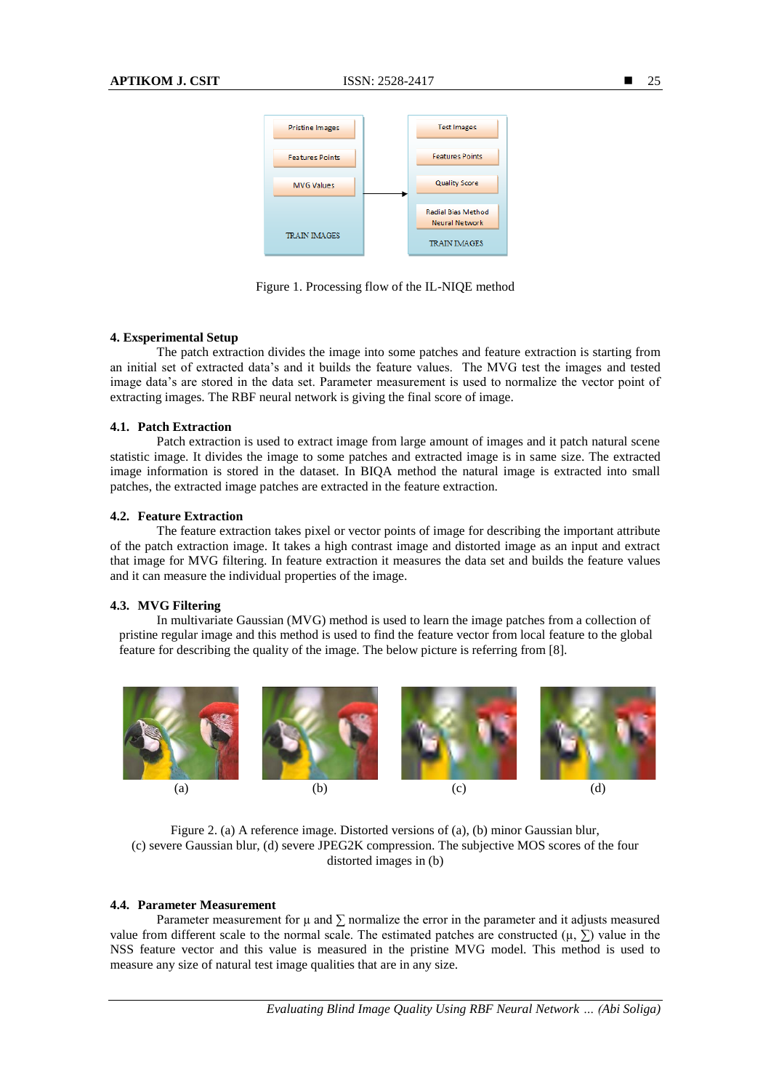

Figure 1. Processing flow of the IL-NIQE method

# **4. Exsperimental Setup**

The patch extraction divides the image into some patches and feature extraction is starting from an initial set of extracted data's and it builds the feature values. The MVG test the images and tested image data's are stored in the data set. Parameter measurement is used to normalize the vector point of extracting images. The RBF neural network is giving the final score of image.

# **4.1. Patch Extraction**

Patch extraction is used to extract image from large amount of images and it patch natural scene statistic image. It divides the image to some patches and extracted image is in same size. The extracted image information is stored in the dataset. In BIQA method the natural image is extracted into small patches, the extracted image patches are extracted in the feature extraction.

# **4.2. Feature Extraction**

The feature extraction takes pixel or vector points of image for describing the important attribute of the patch extraction image. It takes a high contrast image and distorted image as an input and extract that image for MVG filtering. In feature extraction it measures the data set and builds the feature values and it can measure the individual properties of the image.

# **4.3. MVG Filtering**

In multivariate Gaussian (MVG) method is used to learn the image patches from a collection of pristine regular image and this method is used to find the feature vector from local feature to the global feature for describing the quality of the image. The below picture is referring from [8].



Figure 2. (a) A reference image. Distorted versions of (a), (b) minor Gaussian blur, (c) severe Gaussian blur, (d) severe JPEG2K compression. The subjective MOS scores of the four distorted images in (b)

# **4.4. Parameter Measurement**

Parameter measurement for  $\mu$  and  $\Sigma$  normalize the error in the parameter and it adjusts measured value from different scale to the normal scale. The estimated patches are constructed  $(\mu, \Sigma)$  value in the NSS feature vector and this value is measured in the pristine MVG model. This method is used to measure any size of natural test image qualities that are in any size.